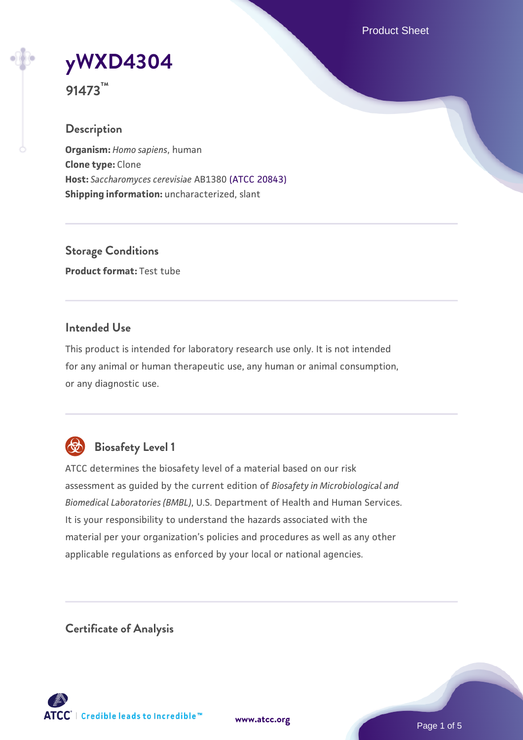Product Sheet



**91473™**

## **Description**

**Organism:** *Homo sapiens*, human **Clone type:** Clone **Host:** *Saccharomyces cerevisiae* AB1380 [\(ATCC 20843\)](https://www.atcc.org/products/20843) **Shipping information:** uncharacterized, slant

**Storage Conditions Product format:** Test tube

## **Intended Use**

This product is intended for laboratory research use only. It is not intended for any animal or human therapeutic use, any human or animal consumption, or any diagnostic use.



# **Biosafety Level 1**

ATCC determines the biosafety level of a material based on our risk assessment as guided by the current edition of *Biosafety in Microbiological and Biomedical Laboratories (BMBL)*, U.S. Department of Health and Human Services. It is your responsibility to understand the hazards associated with the material per your organization's policies and procedures as well as any other applicable regulations as enforced by your local or national agencies.

**Certificate of Analysis**

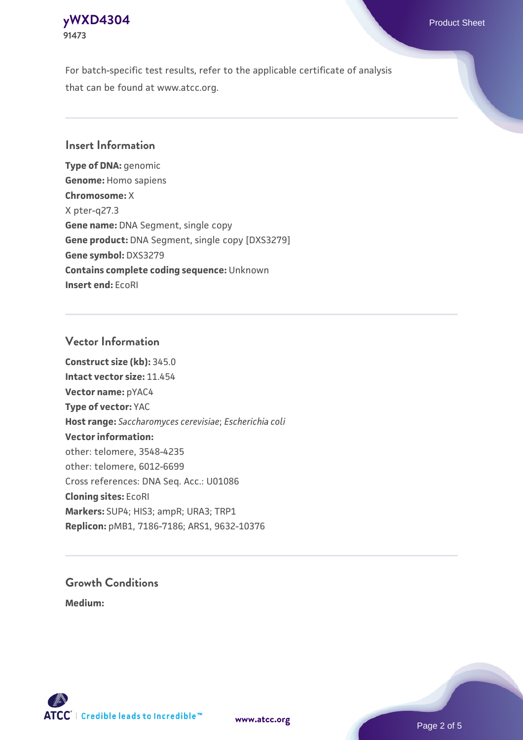# **[yWXD4304](https://www.atcc.org/products/91473)** Product Sheet **91473**

For batch-specific test results, refer to the applicable certificate of analysis that can be found at www.atcc.org.

## **Insert Information**

**Type of DNA:** genomic **Genome:** Homo sapiens **Chromosome:** X X pter-q27.3 **Gene name:** DNA Segment, single copy **Gene product:** DNA Segment, single copy [DXS3279] **Gene symbol:** DXS3279 **Contains complete coding sequence:** Unknown **Insert end:** EcoRI

## **Vector Information**

**Construct size (kb):** 345.0 **Intact vector size:** 11.454 **Vector name:** pYAC4 **Type of vector:** YAC **Host range:** *Saccharomyces cerevisiae*; *Escherichia coli* **Vector information:** other: telomere, 3548-4235 other: telomere, 6012-6699 Cross references: DNA Seq. Acc.: U01086 **Cloning sites:** EcoRI **Markers:** SUP4; HIS3; ampR; URA3; TRP1 **Replicon:** pMB1, 7186-7186; ARS1, 9632-10376

# **Growth Conditions**

**Medium:** 



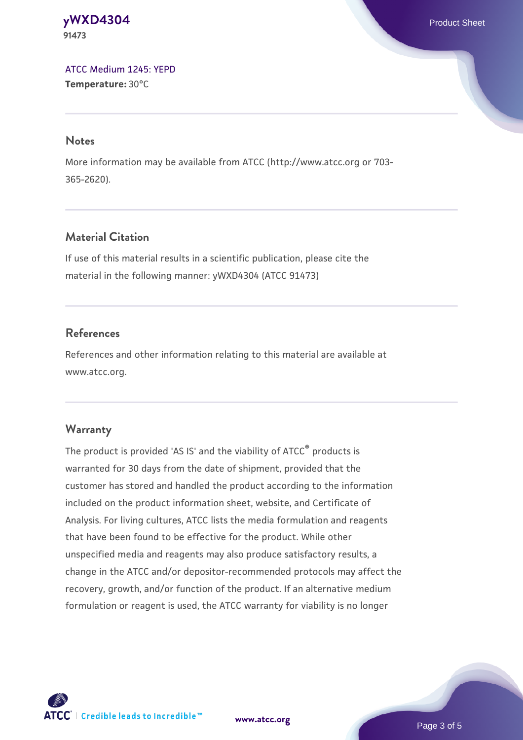### **[yWXD4304](https://www.atcc.org/products/91473)** Product Sheet **91473**

[ATCC Medium 1245: YEPD](https://www.atcc.org/-/media/product-assets/documents/microbial-media-formulations/1/2/4/5/atcc-medium-1245.pdf?rev=705ca55d1b6f490a808a965d5c072196) **Temperature:** 30°C

#### **Notes**

More information may be available from ATCC (http://www.atcc.org or 703- 365-2620).

## **Material Citation**

If use of this material results in a scientific publication, please cite the material in the following manner: yWXD4304 (ATCC 91473)

## **References**

References and other information relating to this material are available at www.atcc.org.

### **Warranty**

The product is provided 'AS IS' and the viability of ATCC® products is warranted for 30 days from the date of shipment, provided that the customer has stored and handled the product according to the information included on the product information sheet, website, and Certificate of Analysis. For living cultures, ATCC lists the media formulation and reagents that have been found to be effective for the product. While other unspecified media and reagents may also produce satisfactory results, a change in the ATCC and/or depositor-recommended protocols may affect the recovery, growth, and/or function of the product. If an alternative medium formulation or reagent is used, the ATCC warranty for viability is no longer



**[www.atcc.org](http://www.atcc.org)**

Page 3 of 5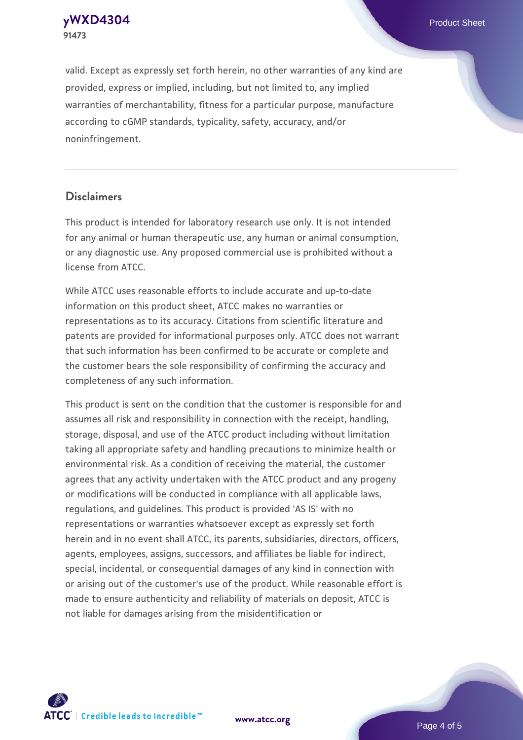**[yWXD4304](https://www.atcc.org/products/91473)** Product Sheet **91473**

valid. Except as expressly set forth herein, no other warranties of any kind are provided, express or implied, including, but not limited to, any implied warranties of merchantability, fitness for a particular purpose, manufacture according to cGMP standards, typicality, safety, accuracy, and/or noninfringement.

#### **Disclaimers**

This product is intended for laboratory research use only. It is not intended for any animal or human therapeutic use, any human or animal consumption, or any diagnostic use. Any proposed commercial use is prohibited without a license from ATCC.

While ATCC uses reasonable efforts to include accurate and up-to-date information on this product sheet, ATCC makes no warranties or representations as to its accuracy. Citations from scientific literature and patents are provided for informational purposes only. ATCC does not warrant that such information has been confirmed to be accurate or complete and the customer bears the sole responsibility of confirming the accuracy and completeness of any such information.

This product is sent on the condition that the customer is responsible for and assumes all risk and responsibility in connection with the receipt, handling, storage, disposal, and use of the ATCC product including without limitation taking all appropriate safety and handling precautions to minimize health or environmental risk. As a condition of receiving the material, the customer agrees that any activity undertaken with the ATCC product and any progeny or modifications will be conducted in compliance with all applicable laws, regulations, and guidelines. This product is provided 'AS IS' with no representations or warranties whatsoever except as expressly set forth herein and in no event shall ATCC, its parents, subsidiaries, directors, officers, agents, employees, assigns, successors, and affiliates be liable for indirect, special, incidental, or consequential damages of any kind in connection with or arising out of the customer's use of the product. While reasonable effort is made to ensure authenticity and reliability of materials on deposit, ATCC is not liable for damages arising from the misidentification or



**[www.atcc.org](http://www.atcc.org)**

Page 4 of 5